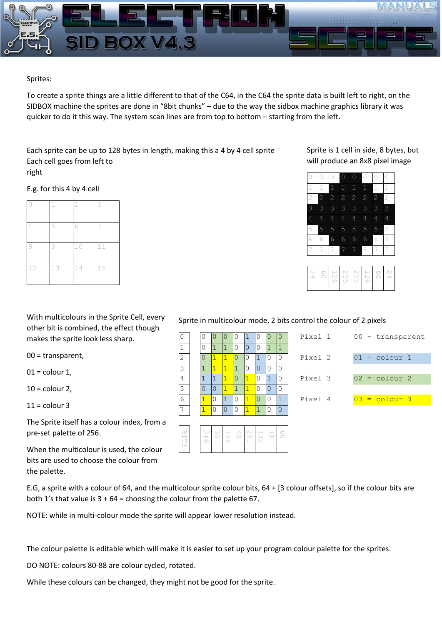

## Sprites:

To create a sprite things are a little different to that of the C64, in the C64 the sprite data is built left to right, on the SIDBOX machine the sprites are done in "8bit chunks" – due to the way the sidbox machine graphics library it was quicker to do it this way. The system scan lines are from top to bottom – starting from the left.

Each sprite can be up to 128 bytes in length, making this a 4 by 4 cell sprite Each cell goes from left to right

E.g. for this 4 by 4 cell

|    |    | $\mathbf{2}$ | 3  |
|----|----|--------------|----|
| 4  | 5  | 6            |    |
|    |    | $10$         | 11 |
| 12 | 13 | 14           | 15 |

With multicolours in the Sprite Cell, every other bit is combined, the effect though makes the sprite look less sharp.

00 = transparent,

 $01$  = colour 1,

 $10 =$  colour 2,

 $11 =$  colour 3

The Sprite itself has a colour index, from a pre-set palette of 256.

When the multicolour is used, the colour bits are used to choose the colour from the palette.

E.G, a sprite with a colour of 64, and the multicolour sprite colour bits, 64 + [3 colour offsets], so if the colour bits are both 1's that value is  $3 + 64 =$  choosing the colour from the palette 67.

NOTE: while in multi-colour mode the sprite will appear lower resolution instead.

The colour palette is editable which will make it is easier to set up your program colour palette for the sprites.

DO NOTE: colours 80-88 are colour cycled, rotated.

While these colours can be changed, they might not be good for the sprite.

Sprite is 1 cell in side, 8 bytes, but will produce an 8x8 pixel image

|                |                | 1              | 1              |                | 1              | 1              |                |
|----------------|----------------|----------------|----------------|----------------|----------------|----------------|----------------|
| $\overline{c}$ | $\overline{2}$ | $\overline{2}$ | $\overline{2}$ | $\overline{2}$ | $\overline{c}$ | $\overline{2}$ | $\overline{2}$ |
| 3              | 3              | 3              | 3              | 3              | 3              | 3              | 3              |
| 4              | 4              | 4              | 4              | 4              | 4              | 4              | 4              |
| 5              | 5              | 5              | 5              | 5              | 5              | 5              | 5              |
|                |                | 6              | 6              | 6              | 6              | 6              |                |
|                |                | 7              | 7              | 7              | 7              |                |                |
|                |                |                |                |                |                |                |                |



|   |   | Ω |   |    | ſ |
|---|---|---|---|----|---|
|   |   |   |   |    | ſ |
|   |   | ٢ |   |    | ſ |
|   |   |   |   |    | ſ |
|   |   | 0 |   | r, |   |
| 1 | ٦ | Λ | 1 |    | ٢ |
|   |   |   |   |    |   |

Sprite in multicolour mode, 2 bits control the colour of 2 pixels

| $\mathbf 0$    | O | $\cup$           |                          |                  |  | Pixel 1<br>$00 -$ transparent      |
|----------------|---|------------------|--------------------------|------------------|--|------------------------------------|
| $\mathbf{1}$   |   |                  |                          | $\left( \right)$ |  |                                    |
| $\overline{2}$ |   |                  | $\overline{1}$           | 0                |  | Pixel 2<br>$01 = \text{colour} 1$  |
| 3              |   |                  |                          | $^{()}$          |  |                                    |
| 4              |   |                  | $\mathsf{I}(\mathsf{I})$ |                  |  | Pixel 3<br>$02 = \text{colour } 2$ |
| 5              |   | $\left( \right)$ |                          |                  |  |                                    |
| 6              |   | $\Omega$         |                          |                  |  | Pixel 4<br>$03 = \text{colour } 3$ |
| $\overline{7}$ |   |                  |                          |                  |  |                                    |

| t<br>⊢<br>H<br>U. | $\vee$ | $\omega$<br>o | $\frac{1}{2}$<br>O |  | $\begin{array}{c} 24 \\ 40 \end{array}$<br>$\overline{\phantom{a}}$ |  |  |  |
|-------------------|--------|---------------|--------------------|--|---------------------------------------------------------------------|--|--|--|
|-------------------|--------|---------------|--------------------|--|---------------------------------------------------------------------|--|--|--|